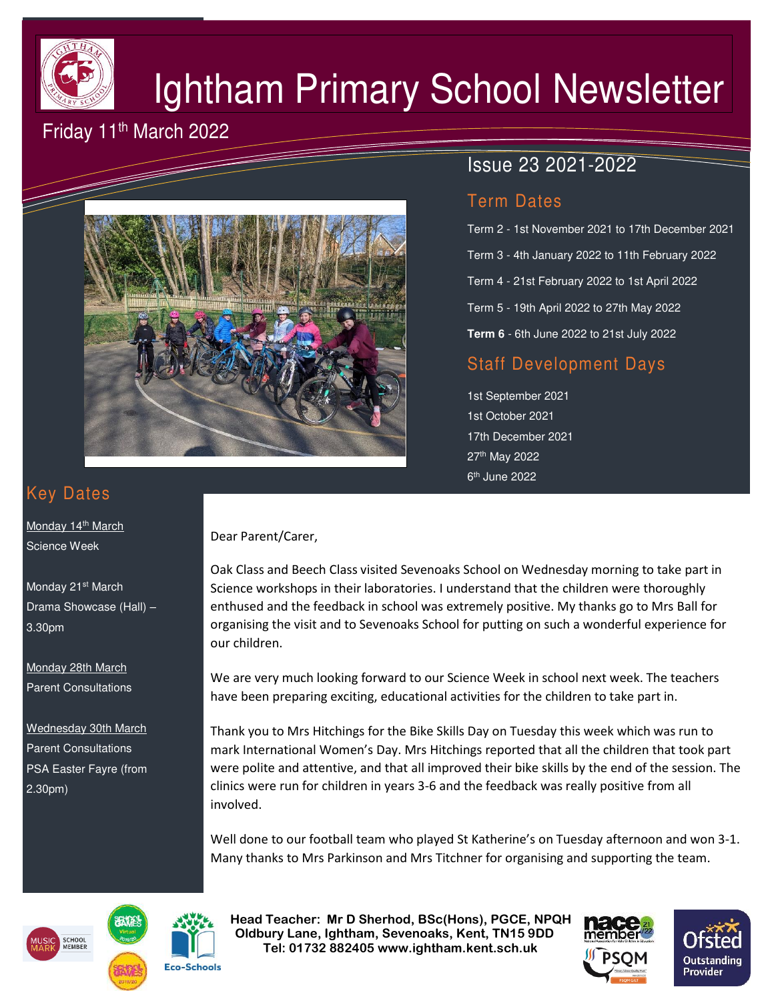

# Ightham Primary School Newsletter

## Friday 11th March 2022



# Issue 23 2021-2022

## Term Dates

Term 2 - 1st November 2021 to 17th December 2021 Term 3 - 4th January 2022 to 11th February 2022 Term 4 - 21st February 2022 to 1st April 2022 Term 5 - 19th April 2022 to 27th May 2022 **Term 6** - 6th June 2022 to 21st July 2022

## Staff Development Days

1st September 2021 1st October 2021 17th December 2021 27th May 2022 6<sup>th</sup> June 2022

# Key Dates

Monday 14<sup>th</sup> March Science Week

Monday 21<sup>st</sup> March Drama Showcase (Hall) – 3.30pm

Monday 28th March Parent Consultations

Wednesday 30th March Parent Consultations PSA Easter Fayre (from 2.30pm)

#### Dear Parent/Carer,

Oak Class and Beech Class visited Sevenoaks School on Wednesday morning to take part in Science workshops in their laboratories. I understand that the children were thoroughly enthused and the feedback in school was extremely positive. My thanks go to Mrs Ball for organising the visit and to Sevenoaks School for putting on such a wonderful experience for our children.

We are very much looking forward to our Science Week in school next week. The teachers have been preparing exciting, educational activities for the children to take part in.

Thank you to Mrs Hitchings for the Bike Skills Day on Tuesday this week which was run to mark International Women's Day. Mrs Hitchings reported that all the children that took part were polite and attentive, and that all improved their bike skills by the end of the session. The clinics were run for children in years 3-6 and the feedback was really positive from all involved.

Well done to our football team who played St Katherine's on Tuesday afternoon and won 3-1. Many thanks to Mrs Parkinson and Mrs Titchner for organising and supporting the team.





 **Head Teacher: Mr D Sherhod, BSc(Hons), PGCE, NPQH Oldbury Lane, Ightham, Sevenoaks, Kent, TN15 9DD** EXERIGING THE **TELE: 01732 882405 www.ightham.kent.sch.uk**<br>Tel: 01732 882405 www.ightham.kent.sch.uk

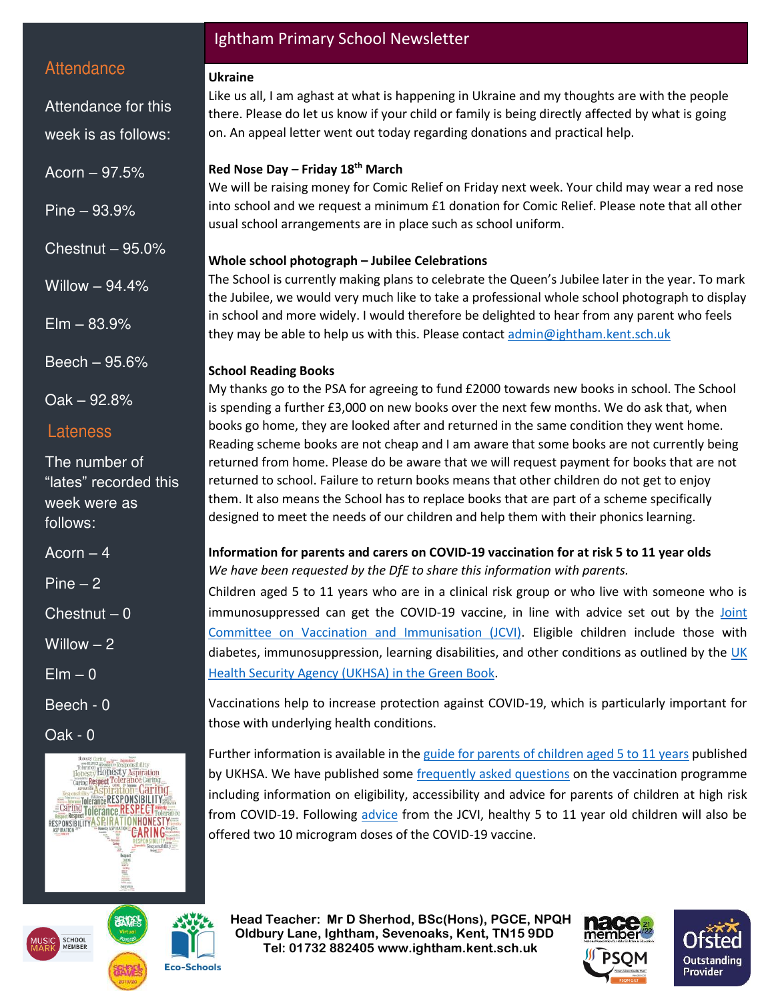## **Attendance**

Attendance for this week is as follows:

Acorn – 97.5%

Pine – 93.9%

Chestnut – 95.0%

Willow – 94.4%

 $E$ lm  $-$  83.9%

Beech – 95.6%

Oak – 92.8%

## Lateness

The number of "lates" recorded this week were as follows:

 $Acorn - 4$ 

Pine  $-2$ 

 $Chestnut - 0$ 

Willow – 2

 $E$ lm – 0

Beech - 0

Oak - 0



## Ightham Primary School Newsletter

#### **Ukraine**

Like us all, I am aghast at what is happening in Ukraine and my thoughts are with the people there. Please do let us know if your child or family is being directly affected by what is going on. An appeal letter went out today regarding donations and practical help.

#### **Red Nose Day – Friday 18th March**

We will be raising money for Comic Relief on Friday next week. Your child may wear a red nose into school and we request a minimum £1 donation for Comic Relief. Please note that all other usual school arrangements are in place such as school uniform.

#### **Whole school photograph – Jubilee Celebrations**

The School is currently making plans to celebrate the Queen's Jubilee later in the year. To mark the Jubilee, we would very much like to take a professional whole school photograph to display in school and more widely. I would therefore be delighted to hear from any parent who feels they may be able to help us with this. Please contact [admin@ightham.kent.sch.uk](mailto:admin@ightham.kent.sch.uk)

### **School Reading Books**

My thanks go to the PSA for agreeing to fund £2000 towards new books in school. The School is spending a further £3,000 on new books over the next few months. We do ask that, when books go home, they are looked after and returned in the same condition they went home. Reading scheme books are not cheap and I am aware that some books are not currently being returned from home. Please do be aware that we will request payment for books that are not returned to school. Failure to return books means that other children do not get to enjoy them. It also means the School has to replace books that are part of a scheme specifically designed to meet the needs of our children and help them with their phonics learning.

#### **Information for parents and carers on COVID-19 vaccination for at risk 5 to 11 year olds**  *We have been requested by the DfE to share this information with parents.*

Children aged 5 to 11 years who are in a clinical risk group or who live with someone who is immunosuppressed can get the COVID-19 vaccine, in line with advice set out by the [Joint](https://www.gov.uk/government/publications/priority-groups-for-coronavirus-covid-19-vaccination-advice-from-the-jcvi-30-december-2020/joint-committee-on-vaccination-and-immunisation-advice-on-priority-groups-for-covid-19-vaccination-30-december-2020?utm_source=8%20March%202022%20C19&utm_medium=Daily%20Email%20C19&utm_campaign=DfE%20C19)  [Committee on Vaccination and Immunisation \(JCVI\).](https://www.gov.uk/government/publications/priority-groups-for-coronavirus-covid-19-vaccination-advice-from-the-jcvi-30-december-2020/joint-committee-on-vaccination-and-immunisation-advice-on-priority-groups-for-covid-19-vaccination-30-december-2020?utm_source=8%20March%202022%20C19&utm_medium=Daily%20Email%20C19&utm_campaign=DfE%20C19) Eligible children include those with diabetes, immunosuppression, learning disabilities, and other conditions as outlined by the UK [Health Security Agency \(UKHSA\) in the Green Book.](https://www.gov.uk/government/publications/covid-19-the-green-book-chapter-14a?utm_source=8%20March%202022%20C19&utm_medium=Daily%20Email%20C19&utm_campaign=DfE%20C19)

Vaccinations help to increase protection against COVID-19, which is particularly important for those with underlying health conditions.

Further information is available in the [guide for parents of children aged 5 to 11 years](https://www.gov.uk/government/publications/covid-19-vaccination-resources-for-children-aged-5-to-11-years/a-guide-for-parents-of-children-aged-5-to-11-years-of-age-at-high-risk?utm_source=8%20March%202022%20C19&utm_medium=Daily%20Email%20C19&utm_campaign=DfE%20C19) published by UKHSA. We have published som[e frequently asked questions](https://educationhub.blog.gov.uk/2022/02/11/vaccinations-for-clinically-vulnerable-children-and-young-people-your-questions-answered/?utm_source=8%20March%202022%20C19&utm_medium=Daily%20Email%20C19&utm_campaign=DfE%20C19) on the vaccination programme including information on eligibility, accessibility and advice for parents of children at high risk from COVID-19. Following [advice](https://www.gov.uk/government/publications/jcvi-update-on-advice-for-covid-19-vaccination-of-children-aged-5-to-11/jcvi-statement-on-vaccination-of-children-aged-5-to-11-years-old?utm_source=8%20March%202022%20C19&utm_medium=Daily%20Email%20C19&utm_campaign=DfE%20C19) from the JCVI, healthy 5 to 11 year old children will also be offered two 10 microgram doses of the COVID-19 vaccine.

 **Head Teacher: Mr D Sherhod, BSc(Hons), PGCE, NPQH Oldbury Lane, Ightham, Sevenoaks, Kent, TN15 9DD Tel: 01732 882405 www.ightham.kent.sch.uk**<br>Tel: 01732 882405 www.ightham.kent.sch.uk





**Eco-Schools**